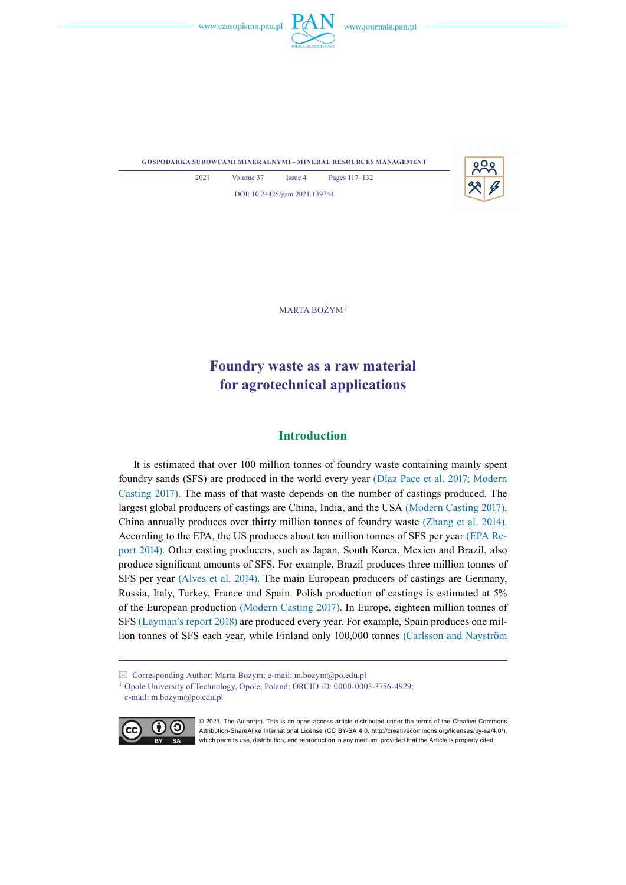



**gospodarka surowcami mineralnymi – mineral resources management**



2021 Volume 37 Issue 4 Pages 117–132 DOI: 10.24425/gsm.2021.139744

Marta Bożym<sup>1</sup>

# **Foundry waste as a raw material for agrotechnical applications**

# **Introduction**

It is estimated that over 100 million tonnes of foundry waste containing mainly spent foundry sands (SFS) are produced in the world every year (Díaz Pace et al. 2017; Modern Casting 2017). The mass of that waste depends on the number of castings produced. The largest global producers of castings are China, India, and the USA (Modern Casting 2017). China annually produces over thirty million tonnes of foundry waste (Zhang et al. 2014). According to the EPA, the US produces about ten million tonnes of SFS per year (EPA Report 2014). Other casting producers, such as Japan, South Korea, Mexico and Brazil, also produce significant amounts of SFS. For example, Brazil produces three million tonnes of SFS per year (Alves et al. 2014). The main European producers of castings are Germany, Russia, Italy, Turkey, France and Spain. Polish production of castings is estimated at 5% of the European production (Modern Casting 2017). In Europe, eighteen million tonnes of SFS (Layman's report 2018) are produced every year. For example, Spain produces one million tonnes of SFS each year, while Finland only 100,000 tonnes (Carlsson and Nayström

<sup>1</sup> Opole University of Technology, Opole, Poland; ORCID iD: 0000-0003-3756-4929; e-mail: m.bozym@po.edu.pl



© 2021. The Author(s). This is an open-access article distributed under the terms of the Creative Commons Attribution-ShareAlike International License (CC BY-SA 4.0, http://creativecommons.org/licenses/by-sa/4.0/), which permits use, distribution, and reproduction in any medium, provided that the Article is properly cited.

 $\boxtimes$  Corresponding Author: Marta Bożym; e-mail: m.bozym $\omega$ po.edu.pl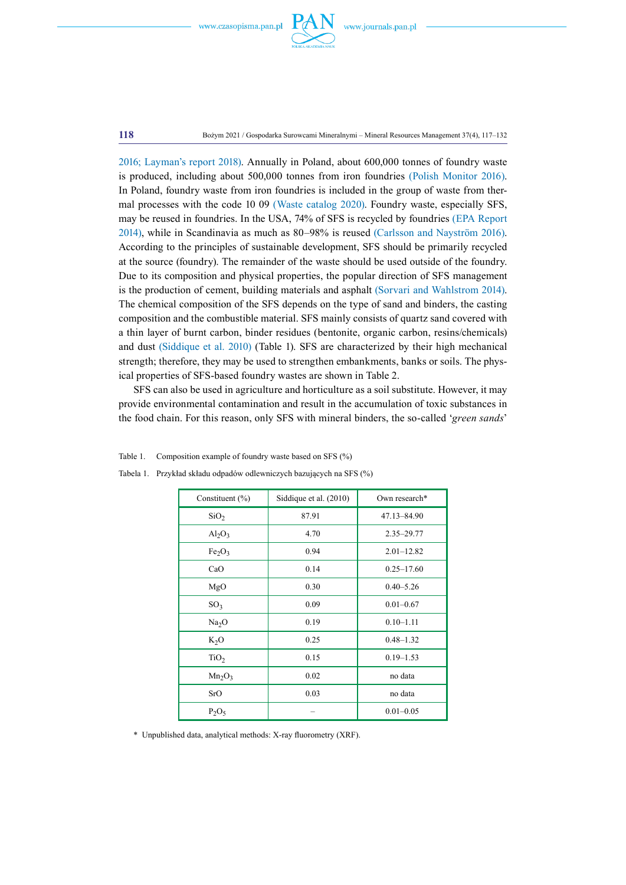

**118** Bożym 2021 / Gospodarka Surowcami Mineralnymi – Mineral Resources Management 37(4), 117–132

2016; Layman's report 2018). Annually in Poland, about 600,000 tonnes of foundry waste is produced, including about 500,000 tonnes from iron foundries (Polish Monitor 2016). In Poland, foundry waste from iron foundries is included in the group of waste from thermal processes with the code 10 09 (Waste catalog 2020). Foundry waste, especially SFS, may be reused in foundries. In the USA, 74% of SFS is recycled by foundries (EPA Report 2014), while in Scandinavia as much as 80–98% is reused (Carlsson and Nayström 2016). According to the principles of sustainable development, SFS should be primarily recycled at the source (foundry). The remainder of the waste should be used outside of the foundry. Due to its composition and physical properties, the popular direction of SFS management is the production of cement, building materials and asphalt (Sorvari and Wahlstrom 2014). The chemical composition of the SFS depends on the type of sand and binders, the casting composition and the combustible material. SFS mainly consists of quartz sand covered with a thin layer of burnt carbon, binder residues (bentonite, organic carbon, resins/chemicals) and dust (Siddique et al. 2010) (Table 1). SFS are characterized by their high mechanical strength; therefore, they may be used to strengthen embankments, banks or soils. The physical properties of SFS-based foundry wastes are shown in Table 2.

SFS can also be used in agriculture and horticulture as a soil substitute. However, it may provide environmental contamination and result in the accumulation of toxic substances in the food chain. For this reason, only SFS with mineral binders, the so-called '*green sands*'

| Constituent $(\% )$            | Siddique et al. (2010) | Own research*  |
|--------------------------------|------------------------|----------------|
| SiO <sub>2</sub>               | 87.91                  | 47.13-84.90    |
| $Al_2O_3$                      | 4.70                   | $2.35 - 29.77$ |
| Fe <sub>2</sub> O <sub>3</sub> | 0.94                   | $2.01 - 12.82$ |
| CaO                            | 0.14                   | $0.25 - 17.60$ |
| MgO                            | 0.30                   | $0.40 - 5.26$  |
| SO <sub>3</sub>                | 0.09                   | $0.01 - 0.67$  |
| Na <sub>2</sub> O              | 0.19                   | $0.10 - 1.11$  |
| $K_2O$                         | 0.25                   | $0.48 - 1.32$  |
| TiO <sub>2</sub>               | 0.15                   | $0.19 - 1.53$  |
| $Mn_2O_3$                      | 0.02                   | no data        |
| SrO                            | 0.03                   | no data        |
| $P_2O_5$                       |                        | $0.01 - 0.05$  |

Tabela 1. Przykład składu odpadów odlewniczych bazujących na SFS (%)

Table 1. Composition example of foundry waste based on SFS (%)

\* Unpublished data, analytical methods: X-ray fluorometry (XRF).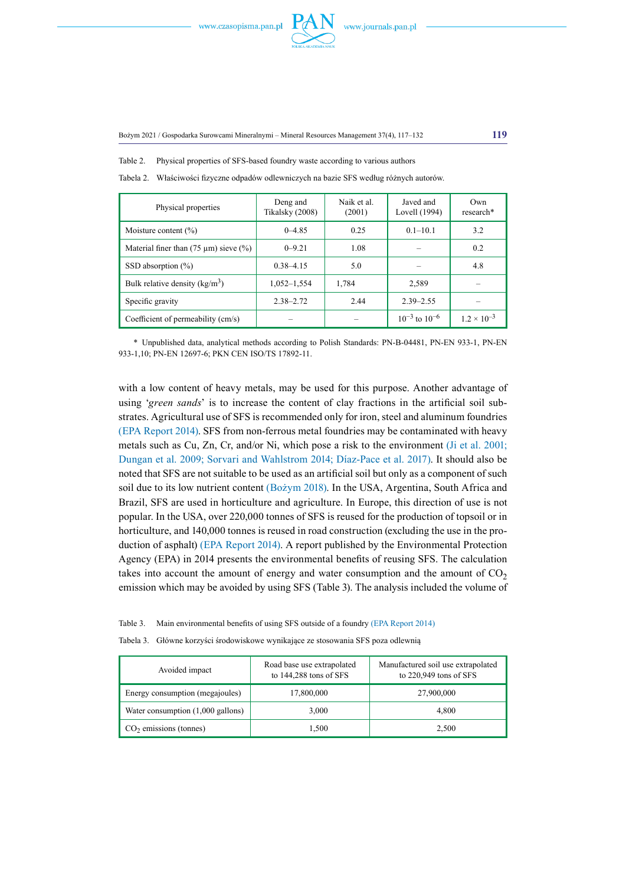

Table 2. Physical properties of SFS-based foundry waste according to various authors

| Physical properties                           | Deng and<br>Tikalsky (2008) | Naik et al.<br>(2001) | Javed and<br>Lovell (1994) | Own<br>research*     |
|-----------------------------------------------|-----------------------------|-----------------------|----------------------------|----------------------|
| Moisture content $(\% )$                      | $0 - 4.85$                  | 0.25                  | $0.1 - 10.1$               | 3.2                  |
| Material finer than $(75 \mu m)$ sieve $(\%)$ | $0 - 9.21$                  | 1.08                  |                            | 0.2                  |
| SSD absorption $(\%)$                         | $0.38 - 4.15$               | 5.0                   |                            | 4.8                  |
| Bulk relative density $(kg/m3)$               | $1,052 - 1,554$             | 1.784                 | 2,589                      |                      |
| Specific gravity                              | $2.38 - 2.72$               | 2.44                  | $2.39 - 2.55$              |                      |
| Coefficient of permeability (cm/s)            |                             |                       | $10^{-3}$ to $10^{-6}$     | $1.2 \times 10^{-3}$ |

Tabela 2. Właściwości fizyczne odpadów odlewniczych na bazie SFS według różnych autorów.

\* Unpublished data, analytical methods according to Polish Standards: PN-B-04481, PN-EN 933-1, PN-EN 933-1,10; PN-EN 12697-6; PKN CEN ISO/TS 17892-11.

with a low content of heavy metals, may be used for this purpose. Another advantage of using '*green sands*' is to increase the content of clay fractions in the artificial soil substrates. Agricultural use of SFS is recommended only for iron, steel and aluminum foundries (EPA Report 2014). SFS from non-ferrous metal foundries may be contaminated with heavy metals such as Cu, Zn, Cr, and/or Ni, which pose a risk to the environment (Ji et al. 2001; Dungan et al. 2009; Sorvari and Wahlstrom 2014; Díaz-Pace et al. 2017). It should also be noted that SFS are not suitable to be used as an artificial soil but only as a component of such soil due to its low nutrient content (Bożym 2018). In the USA, Argentina, South Africa and Brazil, SFS are used in horticulture and agriculture. In Europe, this direction of use is not popular. In the USA, over 220,000 tonnes of SFS is reused for the production of topsoil or in horticulture, and 140,000 tonnes is reused in road construction (excluding the use in the production of asphalt) (EPA Report 2014). A report published by the Environmental Protection Agency (EPA) in 2014 presents the environmental benefits of reusing SFS. The calculation takes into account the amount of energy and water consumption and the amount of  $CO<sub>2</sub>$ emission which may be avoided by using SFS (Table 3). The analysis included the volume of

|  | Table 3. Main environmental benefits of using SFS outside of a foundry (EPA Report 2014) |  |  |  |  |  |
|--|------------------------------------------------------------------------------------------|--|--|--|--|--|
|--|------------------------------------------------------------------------------------------|--|--|--|--|--|

Tabela 3. Główne korzyści środowiskowe wynikające ze stosowania SFS poza odlewnią

| Avoided impact                              | Road base use extrapolated<br>to $144,288$ tons of SFS | Manufactured soil use extrapolated<br>to $220,949$ tons of SFS |  |
|---------------------------------------------|--------------------------------------------------------|----------------------------------------------------------------|--|
| Energy consumption (megajoules)             | 17,800,000                                             | 27,900,000                                                     |  |
| Water consumption $(1,000 \text{ gallons})$ | 3,000                                                  | 4.800                                                          |  |
| $CO2$ emissions (tonnes)                    | 1.500                                                  | 2,500                                                          |  |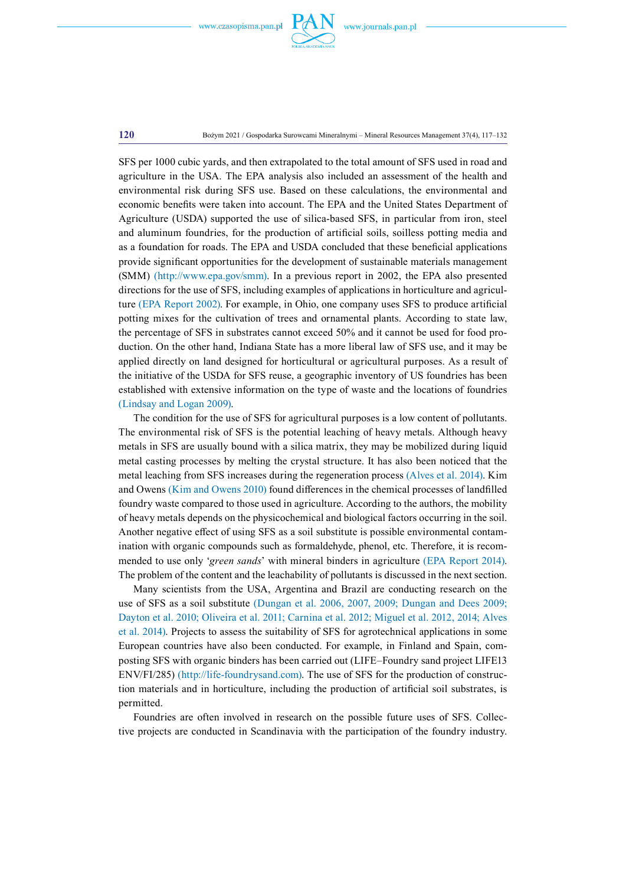

#### **120** Bożym 2021 / Gospodarka Surowcami Mineralnymi – Mineral Resources Management 37(4), 117–132

SFS per 1000 cubic yards, and then extrapolated to the total amount of SFS used in road and agriculture in the USA. The EPA analysis also included an assessment of the health and environmental risk during SFS use. Based on these calculations, the environmental and economic benefits were taken into account. The EPA and the United States Department of Agriculture (USDA) supported the use of silica-based SFS, in particular from iron, steel and aluminum foundries, for the production of artificial soils, soilless potting media and as a foundation for roads. The EPA and USDA concluded that these beneficial applications provide significant opportunities for the development of sustainable materials management (SMM) ([http://www.epa.gov/smm\)](http://www.epa.gov/smm). In a previous report in 2002, the EPA also presented directions for the use of SFS, including examples of applications in horticulture and agriculture (EPA Report 2002). For example, in Ohio, one company uses SFS to produce artificial potting mixes for the cultivation of trees and ornamental plants. According to state law, the percentage of SFS in substrates cannot exceed 50% and it cannot be used for food production. On the other hand, Indiana State has a more liberal law of SFS use, and it may be applied directly on land designed for horticultural or agricultural purposes. As a result of the initiative of the USDA for SFS reuse, a geographic inventory of US foundries has been established with extensive information on the type of waste and the locations of foundries (Lindsay and Logan 2009).

The condition for the use of SFS for agricultural purposes is a low content of pollutants. The environmental risk of SFS is the potential leaching of heavy metals. Although heavy metals in SFS are usually bound with a silica matrix, they may be mobilized during liquid metal casting processes by melting the crystal structure. It has also been noticed that the metal leaching from SFS increases during the regeneration process (Alves et al. 2014). Kim and Owens (Kim and Owens 2010) found differences in the chemical processes of landfilled foundry waste compared to those used in agriculture. According to the authors, the mobility of heavy metals depends on the physicochemical and biological factors occurring in the soil. Another negative effect of using SFS as a soil substitute is possible environmental contamination with organic compounds such as formaldehyde, phenol, etc. Therefore, it is recommended to use only '*green sands*' with mineral binders in agriculture (EPA Report 2014). The problem of the content and the leachability of pollutants is discussed in the next section.

Many scientists from the USA, Argentina and Brazil are conducting research on the use of SFS as a soil substitute (Dungan et al. 2006, 2007, 2009; Dungan and Dees 2009; Dayton et al. 2010; Oliveira et al. 2011; Carnina et al. 2012; Miguel et al. 2012, 2014; Alves et al. 2014). Projects to assess the suitability of SFS for agrotechnical applications in some European countries have also been conducted. For example, in Finland and Spain, composting SFS with organic binders has been carried out (LIFE–Foundry sand project LIFE13 ENV/FI/285) (http://life-foundrysand.com). The use of SFS for the production of construction materials and in horticulture, including the production of artificial soil substrates, is permitted.

Foundries are often involved in research on the possible future uses of SFS. Collective projects are conducted in Scandinavia with the participation of the foundry industry.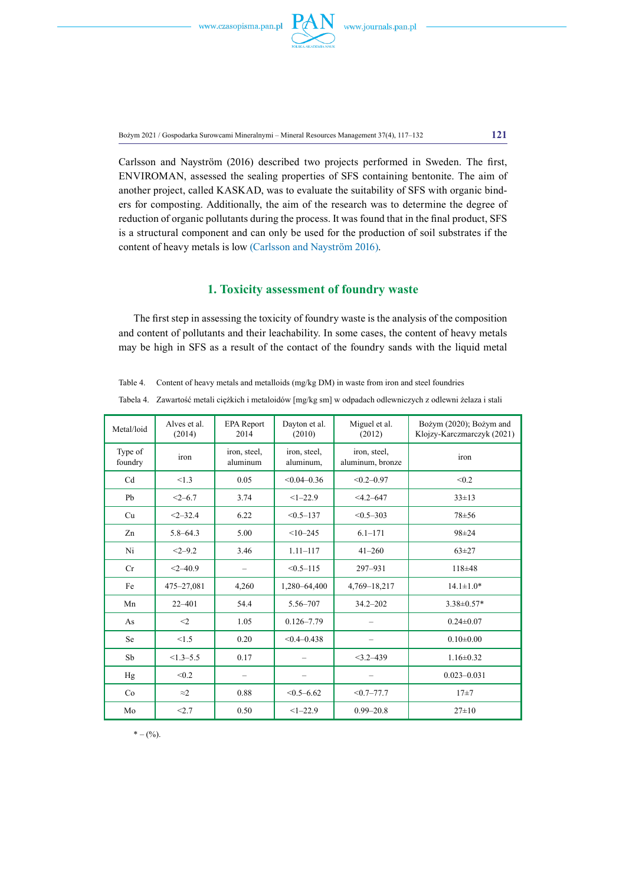

Bożym 2021 / Gospodarka Surowcami Mineralnymi – Mineral Resources Management 37(4), 117–132 **121**

Carlsson and Nayström (2016) described two projects performed in Sweden. The first, ENVIROMAN, assessed the sealing properties of SFS containing bentonite. The aim of another project, called KASKAD, was to evaluate the suitability of SFS with organic binders for composting. Additionally, the aim of the research was to determine the degree of reduction of organic pollutants during the process. It was found that in the final product, SFS is a structural component and can only be used for the production of soil substrates if the content of heavy metals is low (Carlsson and Nayström 2016).

# **1. Toxicity assessment of foundry waste**

The first step in assessing the toxicity of foundry waste is the analysis of the composition and content of pollutants and their leachability. In some cases, the content of heavy metals may be high in SFS as a result of the contact of the foundry sands with the liquid metal

Table 4. Content of heavy metals and metalloids (mg/kg DM) in waste from iron and steel foundries

| Tabela 4. Zawartość metali ciężkich i metaloidów [mg/kg sm] w odpadach odlewniczych z odlewni żelaza i stali |  |
|--------------------------------------------------------------------------------------------------------------|--|
|--------------------------------------------------------------------------------------------------------------|--|

| Metal/loid         | Alves et al.<br>(2014) | <b>EPA</b> Report<br>2014 | Dayton et al.<br>(2010)   | Miguel et al.<br>(2012)          | Bożym (2020); Bożym and<br>Klojzy-Karczmarczyk (2021) |
|--------------------|------------------------|---------------------------|---------------------------|----------------------------------|-------------------------------------------------------|
| Type of<br>foundry | iron                   | iron, steel,<br>aluminum  | iron, steel,<br>aluminum, | iron, steel,<br>aluminum, bronze | iron                                                  |
| Cd                 | < 1.3                  | 0.05                      | $< 0.04 - 0.36$           | $< 0.2 - 0.97$                   | < 0.2                                                 |
| Pb                 | $<2 - 6.7$             | 3.74                      | $<1 - 22.9$               | $<$ 4.2-647                      | $33 \pm 13$                                           |
| Cu                 | $<2 - 32.4$            | 6.22                      | $< 0.5 - 137$             | $< 0.5 - 303$                    | $78 + 56$                                             |
| Zn                 | $5.8 - 64.3$           | 5.00                      | $<10-245$                 | $6.1 - 171$                      | 98±24                                                 |
| Ni                 | $<2-9.2$               | 3.46                      | $1.11 - 117$              | $41 - 260$                       | $63 + 27$                                             |
| Cr                 | $<2 - 40.9$            |                           | $< 0.5 - 115$             | 297-931                          | 118±48                                                |
| Fe                 | 475-27,081             | 4,260                     | 1,280-64,400              | 4,769-18,217                     | $14.1 \pm 1.0*$                                       |
| Mn                 | $22 - 401$             | 54.4                      | 5.56-707                  | $34.2 - 202$                     | $3.38 \pm 0.57*$                                      |
| As                 | $\leq$ 2               | 1.05                      | $0.126 - 7.79$            |                                  | $0.24 \pm 0.07$                                       |
| Se                 | < 1.5                  | 0.20                      | $< 0.4 - 0.438$           |                                  | $0.10 \pm 0.00$                                       |
| Sb                 | $<1.3 - 5.5$           | 0.17                      |                           | $<$ 3.2–439                      | $1.16 \pm 0.32$                                       |
| Hg                 | < 0.2                  | $\overline{\phantom{0}}$  |                           |                                  | $0.023 - 0.031$                                       |
| Co                 | $\approx$ 2            | 0.88                      | $< 0.5 - 6.62$            | $< 0.7 - 77.7$                   | $17 + 7$                                              |
| Mo                 | < 2.7                  | 0.50                      | $<1 - 22.9$               | $0.99 - 20.8$                    | $27\pm 10$                                            |

 $* - (\frac{9}{6})$ .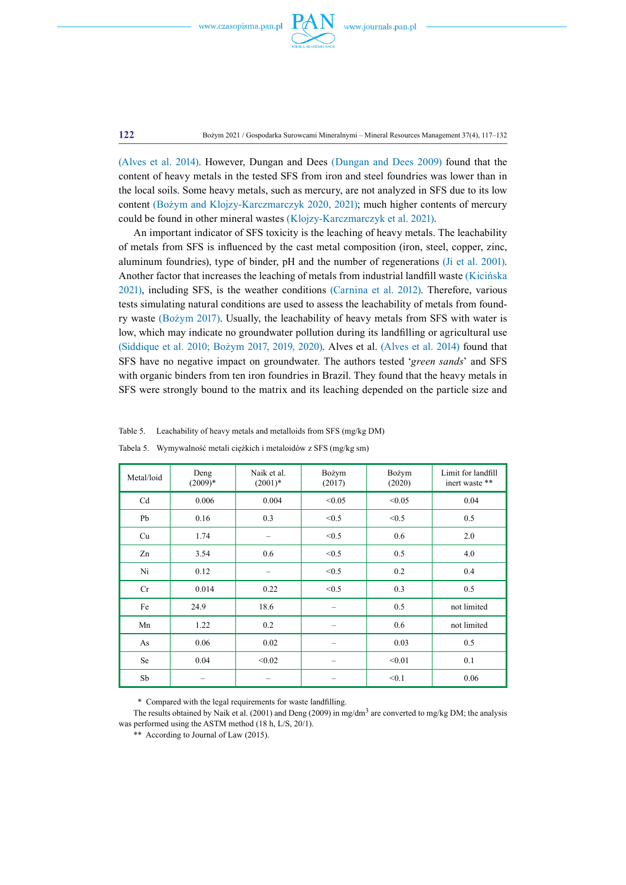

**122** Bożym 2021 / Gospodarka Surowcami Mineralnymi – Mineral Resources Management 37(4), 117–132

(Alves et al. 2014). However, Dungan and Dees (Dungan and Dees 2009) found that the content of heavy metals in the tested SFS from iron and steel foundries was lower than in the local soils. Some heavy metals, such as mercury, are not analyzed in SFS due to its low content (Bożym and Klojzy-Karczmarczyk 2020, 2021); much higher contents of mercury could be found in other mineral wastes (Klojzy-Karczmarczyk et al. 2021).

An important indicator of SFS toxicity is the leaching of heavy metals. The leachability of metals from SFS is influenced by the cast metal composition (iron, steel, copper, zinc, aluminum foundries), type of binder, pH and the number of regenerations (Ji et al. 2001). Another factor that increases the leaching of metals from industrial landfill waste (Kicińska 2021), including SFS, is the weather conditions (Carnina et al. 2012). Therefore, various tests simulating natural conditions are used to assess the leachability of metals from foundry waste (Bożym 2017). Usually, the leachability of heavy metals from SFS with water is low, which may indicate no groundwater pollution during its landfilling or agricultural use (Siddique et al. 2010; Bożym 2017, 2019, 2020). Alves et al. (Alves et al. 2014) found that SFS have no negative impact on groundwater. The authors tested '*green sands*' and SFS with organic binders from ten iron foundries in Brazil. They found that the heavy metals in SFS were strongly bound to the matrix and its leaching depended on the particle size and

| Metal/loid | Deng<br>$(2009)*$ | Naik et al.<br>$(2001)*$ | Bożym<br>(2017) | Bożym<br>(2020) | Limit for landfill<br>inert waste ** |
|------------|-------------------|--------------------------|-----------------|-----------------|--------------------------------------|
| Cd         | 0.006             | 0.004                    | < 0.05          | < 0.05          | 0.04                                 |
| Pb         | 0.16              | 0.3                      | < 0.5           | < 0.5           | 0.5                                  |
| Cu         | 1.74              |                          | < 0.5           | 0.6             | 2.0                                  |
| Zn         | 3.54              | 0.6                      | < 0.5           | 0.5             | 4.0                                  |
| Ni         | 0.12              |                          | < 0.5           | 0.2             | 0.4                                  |
| Cr         | 0.014             | 0.22                     | < 0.5           | 0.3             | 0.5                                  |
| Fe         | 24.9              | 18.6                     |                 | 0.5             | not limited                          |
| Mn         | 1.22              | 0.2                      |                 | 0.6             | not limited                          |
| As         | 0.06              | 0.02                     |                 | 0.03            | 0.5                                  |
| Se         | 0.04              | < 0.02                   |                 | < 0.01          | 0.1                                  |
| Sb         |                   |                          |                 | < 0.1           | 0.06                                 |

Table 5. Leachability of heavy metals and metalloids from SFS (mg/kg DM)

Tabela 5. Wymywalność metali ciężkich i metaloidów z SFS (mg/kg sm)

\*\* Compared with the legal requirements for waste landfilling.

The results obtained by Naik et al. (2001) and Deng (2009) in mg/dm<sup>3</sup> are converted to mg/kg DM; the analysis was performed using the ASTM method (18 h, L/S, 20/1).

\*\* According to Journal of Law (2015).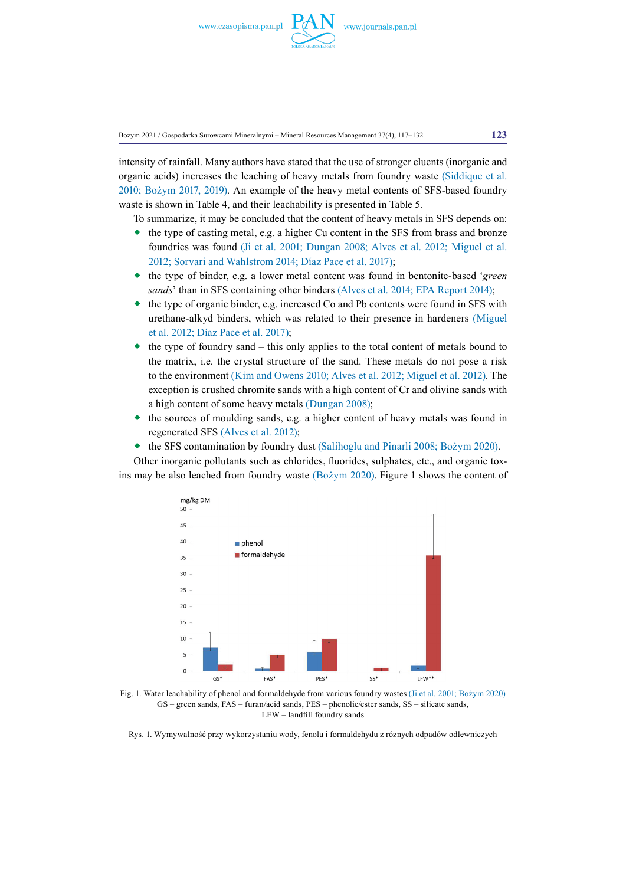

Bożym 2021 / Gospodarka Surowcami Mineralnymi – Mineral Resources Management 37(4), 117–132 **123**

intensity of rainfall. Many authors have stated that the use of stronger eluents (inorganic and organic acids) increases the leaching of heavy metals from foundry waste (Siddique et al. 2010; Bożym 2017, 2019). An example of the heavy metal contents of SFS-based foundry waste is shown in Table 4, and their leachability is presented in Table 5.

To summarize, it may be concluded that the content of heavy metals in SFS depends on:

- $\bullet$  the type of casting metal, e.g. a higher Cu content in the SFS from brass and bronze foundries was found (Ji et al. 2001; Dungan 2008; Alves et al. 2012; Miguel et al. 2012; Sorvari and Wahlstrom 2014; Díaz Pace et al. 2017);
- the type of binder, e.g. a lower metal content was found in bentonite-based '*green sands*' than in SFS containing other binders (Alves et al. 2014; EPA Report 2014);
- the type of organic binder, e.g. increased Co and Pb contents were found in SFS with urethane-alkyd binders, which was related to their presence in hardeners (Miguel et al. 2012; Díaz Pace et al. 2017);
- the type of foundry sand this only applies to the total content of metals bound to the matrix, i.e. the crystal structure of the sand. These metals do not pose a risk to the environment (Kim and Owens 2010; Alves et al. 2012; Miguel et al. 2012). The exception is crushed chromite sands with a high content of Cr and olivine sands with a high content of some heavy metals (Dungan 2008);
- the sources of moulding sands, e.g. a higher content of heavy metals was found in regenerated SFS (Alves et al. 2012);
- the SFS contamination by foundry dust (Salihoglu and Pinarli 2008; Bożym 2020).

Other inorganic pollutants such as chlorides, fluorides, sulphates, etc., and organic toxins may be also leached from foundry waste (Bożym 2020). Figure 1 shows the content of



Fig. 1. Water leachability of phenol and formaldehyde from various foundry wastes (Ji et al. 2001; Bożym 2020) GS – green sands, FAS – furan/acid sands, PES – phenolic/ester sands, SS – silicate sands, LFW – landfill foundry sands

Rys. 1. Wymywalność przy wykorzystaniu wody, fenolu i formaldehydu z różnych odpadów odlewniczych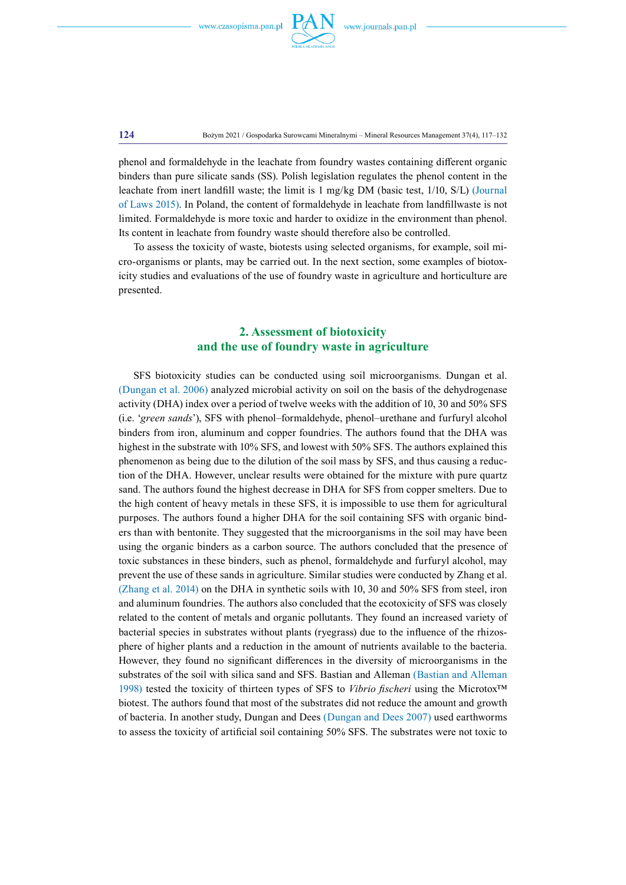

**124** Bożym 2021 / Gospodarka Surowcami Mineralnymi – Mineral Resources Management 37(4), 117–132

phenol and formaldehyde in the leachate from foundry wastes containing different organic binders than pure silicate sands (SS). Polish legislation regulates the phenol content in the leachate from inert landfill waste; the limit is 1 mg/kg DM (basic test, 1/10, S/L) (Journal of Laws 2015). In Poland, the content of formaldehyde in leachate from landfillwaste is not limited. Formaldehyde is more toxic and harder to oxidize in the environment than phenol. Its content in leachate from foundry waste should therefore also be controlled.

To assess the toxicity of waste, biotests using selected organisms, for example, soil micro-organisms or plants, may be carried out. In the next section, some examples of biotoxicity studies and evaluations of the use of foundry waste in agriculture and horticulture are presented.

# **2. Assessment of biotoxicity and the use of foundry waste in agriculture**

SFS biotoxicity studies can be conducted using soil microorganisms. Dungan et al. (Dungan et al. 2006) analyzed microbial activity on soil on the basis of the dehydrogenase activity (DHA) index over a period of twelve weeks with the addition of 10, 30 and 50% SFS (i.e. '*green sands*'), SFS with phenol–formaldehyde, phenol–urethane and furfuryl alcohol binders from iron, aluminum and copper foundries. The authors found that the DHA was highest in the substrate with 10% SFS, and lowest with 50% SFS. The authors explained this phenomenon as being due to the dilution of the soil mass by SFS, and thus causing a reduction of the DHA. However, unclear results were obtained for the mixture with pure quartz sand. The authors found the highest decrease in DHA for SFS from copper smelters. Due to the high content of heavy metals in these SFS, it is impossible to use them for agricultural purposes. The authors found a higher DHA for the soil containing SFS with organic binders than with bentonite. They suggested that the microorganisms in the soil may have been using the organic binders as a carbon source. The authors concluded that the presence of toxic substances in these binders, such as phenol, formaldehyde and furfuryl alcohol, may prevent the use of these sands in agriculture. Similar studies were conducted by Zhang et al. (Zhang et al. 2014) on the DHA in synthetic soils with 10, 30 and 50% SFS from steel, iron and aluminum foundries. The authors also concluded that the ecotoxicity of SFS was closely related to the content of metals and organic pollutants. They found an increased variety of bacterial species in substrates without plants (ryegrass) due to the influence of the rhizosphere of higher plants and a reduction in the amount of nutrients available to the bacteria. However, they found no significant differences in the diversity of microorganisms in the substrates of the soil with silica sand and SFS. Bastian and Alleman (Bastian and Alleman 1998) tested the toxicity of thirteen types of SFS to *Vibrio fischeri* using the Microtox™ biotest. The authors found that most of the substrates did not reduce the amount and growth of bacteria. In another study, Dungan and Dees (Dungan and Dees 2007) used earthworms to assess the toxicity of artificial soil containing 50% SFS. The substrates were not toxic to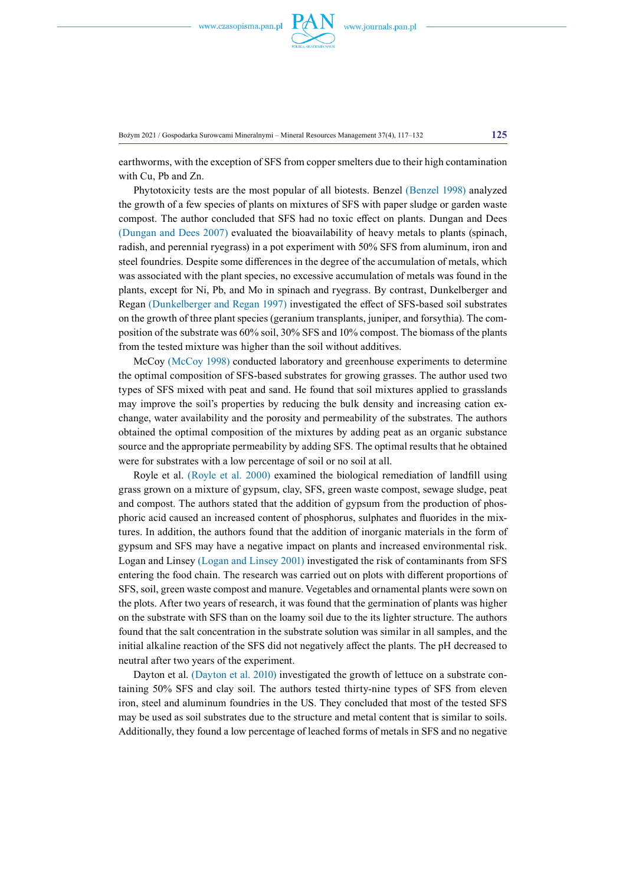

Bożym 2021 / Gospodarka Surowcami Mineralnymi – Mineral Resources Management 37(4), 117–132 **125**

earthworms, with the exception of SFS from copper smelters due to their high contamination with Cu, Pb and Zn.

Phytotoxicity tests are the most popular of all biotests. Benzel (Benzel 1998) analyzed the growth of a few species of plants on mixtures of SFS with paper sludge or garden waste compost. The author concluded that SFS had no toxic effect on plants. Dungan and Dees (Dungan and Dees 2007) evaluated the bioavailability of heavy metals to plants (spinach, radish, and perennial ryegrass) in a pot experiment with 50% SFS from aluminum, iron and steel foundries. Despite some differences in the degree of the accumulation of metals, which was associated with the plant species, no excessive accumulation of metals was found in the plants, except for Ni, Pb, and Mo in spinach and ryegrass. By contrast, Dunkelberger and Regan (Dunkelberger and Regan 1997) investigated the effect of SFS-based soil substrates on the growth of three plant species (geranium transplants, juniper, and forsythia). The composition of the substrate was 60% soil, 30% SFS and 10% compost. The biomass of the plants from the tested mixture was higher than the soil without additives.

McCoy (McCoy 1998) conducted laboratory and greenhouse experiments to determine the optimal composition of SFS-based substrates for growing grasses. The author used two types of SFS mixed with peat and sand. He found that soil mixtures applied to grasslands may improve the soil's properties by reducing the bulk density and increasing cation exchange, water availability and the porosity and permeability of the substrates. The authors obtained the optimal composition of the mixtures by adding peat as an organic substance source and the appropriate permeability by adding SFS. The optimal results that he obtained were for substrates with a low percentage of soil or no soil at all.

Royle et al. (Royle et al. 2000) examined the biological remediation of landfill using grass grown on a mixture of gypsum, clay, SFS, green waste compost, sewage sludge, peat and compost. The authors stated that the addition of gypsum from the production of phosphoric acid caused an increased content of phosphorus, sulphates and fluorides in the mixtures. In addition, the authors found that the addition of inorganic materials in the form of gypsum and SFS may have a negative impact on plants and increased environmental risk. Logan and Linsey (Logan and Linsey 2001) investigated the risk of contaminants from SFS entering the food chain. The research was carried out on plots with different proportions of SFS, soil, green waste compost and manure. Vegetables and ornamental plants were sown on the plots. After two years of research, it was found that the germination of plants was higher on the substrate with SFS than on the loamy soil due to the its lighter structure. The authors found that the salt concentration in the substrate solution was similar in all samples, and the initial alkaline reaction of the SFS did not negatively affect the plants. The pH decreased to neutral after two years of the experiment.

Dayton et al. (Dayton et al. 2010) investigated the growth of lettuce on a substrate containing 50% SFS and clay soil. The authors tested thirty-nine types of SFS from eleven iron, steel and aluminum foundries in the US. They concluded that most of the tested SFS may be used as soil substrates due to the structure and metal content that is similar to soils. Additionally, they found a low percentage of leached forms of metals in SFS and no negative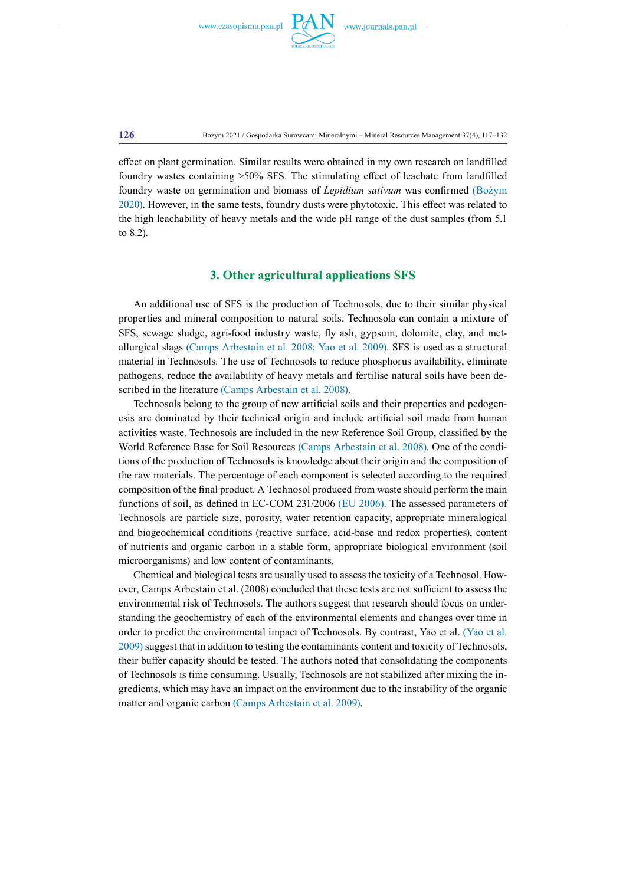

**126** Bożym 2021 / Gospodarka Surowcami Mineralnymi – Mineral Resources Management 37(4), 117–132

effect on plant germination. Similar results were obtained in my own research on landfilled foundry wastes containing >50% SFS. The stimulating effect of leachate from landfilled foundry waste on germination and biomass of *Lepidium sativum* was confirmed (Bożym 2020). However, in the same tests, foundry dusts were phytotoxic. This effect was related to the high leachability of heavy metals and the wide pH range of the dust samples (from 5.1 to 8.2).

# **3. Other agricultural applications SFS**

An additional use of SFS is the production of Technosols, due to their similar physical properties and mineral composition to natural soils. Technosola can contain a mixture of SFS, sewage sludge, agri-food industry waste, fly ash, gypsum, dolomite, clay, and metallurgical slags (Camps Arbestain et al. 2008; Yao et al. 2009). SFS is used as a structural material in Technosols. The use of Technosols to reduce phosphorus availability, eliminate pathogens, reduce the availability of heavy metals and fertilise natural soils have been described in the literature (Camps Arbestain et al. 2008).

Technosols belong to the group of new artificial soils and their properties and pedogenesis are dominated by their technical origin and include artificial soil made from human activities waste. Technosols are included in the new Reference Soil Group, classified by the World Reference Base for Soil Resources (Camps Arbestain et al. 2008). One of the conditions of the production of Technosols is knowledge about their origin and the composition of the raw materials. The percentage of each component is selected according to the required composition of the final product. A Technosol produced from waste should perform the main functions of soil, as defined in EC-COM 231/2006 (EU 2006). The assessed parameters of Technosols are particle size, porosity, water retention capacity, appropriate mineralogical and biogeochemical conditions (reactive surface, acid-base and redox properties), content of nutrients and organic carbon in a stable form, appropriate biological environment (soil microorganisms) and low content of contaminants.

Chemical and biological tests are usually used to assess the toxicity of a Technosol. However, Camps Arbestain et al. (2008) concluded that these tests are not sufficient to assess the environmental risk of Technosols. The authors suggest that research should focus on understanding the geochemistry of each of the environmental elements and changes over time in order to predict the environmental impact of Technosols. By contrast, Yao et al. (Yao et al. 2009) suggest that in addition to testing the contaminants content and toxicity of Technosols, their buffer capacity should be tested. The authors noted that consolidating the components of Technosols is time consuming. Usually, Technosols are not stabilized after mixing the ingredients, which may have an impact on the environment due to the instability of the organic matter and organic carbon (Camps Arbestain et al. 2009).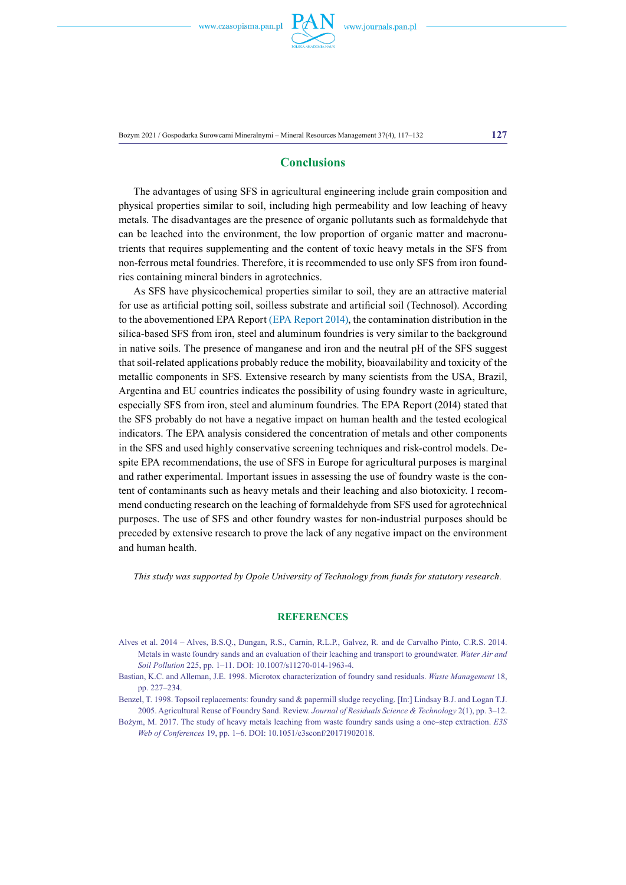

Bożym 2021 / Gospodarka Surowcami Mineralnymi – Mineral Resources Management 37(4), 117–132 **127**

# **Conclusions**

The advantages of using SFS in agricultural engineering include grain composition and physical properties similar to soil, including high permeability and low leaching of heavy metals. The disadvantages are the presence of organic pollutants such as formaldehyde that can be leached into the environment, the low proportion of organic matter and macronutrients that requires supplementing and the content of toxic heavy metals in the SFS from non-ferrous metal foundries. Therefore, it is recommended to use only SFS from iron foundries containing mineral binders in agrotechnics.

As SFS have physicochemical properties similar to soil, they are an attractive material for use as artificial potting soil, soilless substrate and artificial soil (Technosol). According to the abovementioned EPA Report (EPA Report 2014), the contamination distribution in the silica-based SFS from iron, steel and aluminum foundries is very similar to the background in native soils. The presence of manganese and iron and the neutral pH of the SFS suggest that soil-related applications probably reduce the mobility, bioavailability and toxicity of the metallic components in SFS. Extensive research by many scientists from the USA, Brazil, Argentina and EU countries indicates the possibility of using foundry waste in agriculture, especially SFS from iron, steel and aluminum foundries. The EPA Report (2014) stated that the SFS probably do not have a negative impact on human health and the tested ecological indicators. The EPA analysis considered the concentration of metals and other components in the SFS and used highly conservative screening techniques and risk-control models. Despite EPA recommendations, the use of SFS in Europe for agricultural purposes is marginal and rather experimental. Important issues in assessing the use of foundry waste is the content of contaminants such as heavy metals and their leaching and also biotoxicity. I recommend conducting research on the leaching of formaldehyde from SFS used for agrotechnical purposes. The use of SFS and other foundry wastes for non-industrial purposes should be preceded by extensive research to prove the lack of any negative impact on the environment and human health.

*This study was supported by Opole University of Technology from funds for statutory research.*

## **References**

- Alves et al. 2014 Alves, B.S.Q., Dungan, R.S., Carnin, R.L.P., Galvez, R. and de Carvalho Pinto, C.R.S. 2014. Metals in waste foundry sands and an evaluation of their leaching and transport to groundwater. *Water Air and Soil Pollution* 225, pp. 1–11. DOI: [10.1007/s11270-014-1963-4.](http://doi.org/10.1007/s11270-014-1963-4)
- Bastian, K.C. and Alleman, J.E. 1998. Microtox characterization of foundry sand residuals. *Waste Management* 18, pp. 227–234.

Benzel, T. 1998. Topsoil replacements: foundry sand & papermill sludge recycling. [In:] Lindsay B.J. and Logan T.J. 2005. Agricultural Reuse of Foundry Sand. Review. *Journal of Residuals Science & Technology* 2(1), pp. 3–12.

Bożym, M. 2017. The study of heavy metals leaching from waste foundry sands using a one–step extraction. *E3S Web of Conferences* 19, pp. 1–6. DOI: [10.1051/e3sconf/20171902018](https://doi.org/10.1051/e3sconf/20171902018).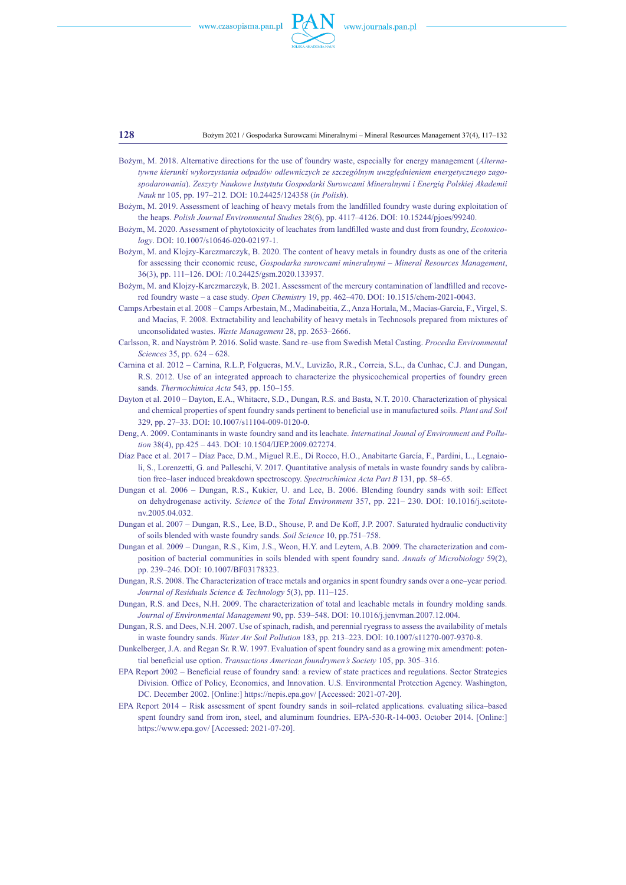

**128** Bożym 2021 / Gospodarka Surowcami Mineralnymi – Mineral Resources Management 37(4), 117–132

- Bożym, M. 2018. Alternative directions for the use of foundry waste, especially for energy management (*Alternatywne kierunki wykorzystania odpadów odlewniczych ze szczególnym uwzględnieniem energetycznego zagospodarowania*). *Zeszyty Naukowe Instytutu Gospodarki Surowcami Mineralnymi i Energią Polskiej Akademii Nauk* nr 105, pp. 197–212. DOI: [10.24425/124358](https://doi.org/10.24425/124358) (*in Polish*).
- Bożym, M. 2019. Assessment of leaching of heavy metals from the landfilled foundry waste during exploitation of the heaps. *Polish Journal Environmental Studies* 28(6), pp. 4117–4126. DOI: [10.15244/pjoes/99240.](https://doi.org/10.15244/pjoes/99240)
- Bożym, M. 2020. Assessment of phytotoxicity of leachates from landfilled waste and dust from foundry, *Ecotoxicology*. DOI: [10.1007/s10646-020-02197-1.](https://doi.org/10.1007/s10646%E2%80%93020%E2%80%9302197%E2%80%931)
- Bożym, M. and Klojzy-Karczmarczyk, B. 2020. The content of heavy metals in foundry dusts as one of the criteria for assessing their economic reuse, *Gospodarka surowcami mineralnymi – Mineral Resources Management*, 36(3), pp. 111–126. DOI: [/10.24425/gsm.2020.133937](https://doi.org/10.24425/gsm.2020.133937).
- Bożym, M. and Klojzy-Karczmarczyk, B. 2021. Assessment of the mercury contamination of landfilled and recovered foundry waste – a case study. *Open Chemistry* 19, pp. 462–470. DOI: [10.1515/chem-2021-0043.](https://doi.org/10.1515/chem-2021-0043)
- Camps Arbestain et al. 2008 Camps Arbestain, M., Madinabeitia, Z., Anza Hortala, M., Macias-Garcia, F., Virgel, S. and Macias, F. 2008. Extractability and leachability of heavy metals in Technosols prepared from mixtures of unconsolidated wastes. *Waste Management* 28, pp. 2653–2666.
- Carlsson, R. and Nayström P. 2016. Solid waste. Sand re–use from Swedish Metal Casting. *Procedia Environmental Sciences* 35, pp. 624 – 628.
- Carnina et al. 2012 Carnina, R.L.P, Folgueras, M.V., Luvizão, R.R., Correia, S.L., da Cunhac, C.J. and Dungan, R.S. 2012. Use of an integrated approach to characterize the physicochemical properties of foundry green sands. *Thermochimica Acta* 543, pp. 150–155.
- Dayton et al. 2010 Dayton, E.A., Whitacre, S.D., Dungan, R.S. and Basta, N.T. 2010. Characterization of physical and chemical properties of spent foundry sands pertinent to beneficial use in manufactured soils. *Plant and Soil* 329, pp. 27–33. DOI: [10.1007/s11104-009-0120-0](https://doi.org/10.1007/s11104-009-0120-0).
- Deng, A. 2009. Contaminants in waste foundry sand and its leachate. *Internatinal Jounal of Environment and Pollution* 38(4), pp.425 – 443. DOI: [10.1504/IJEP.2009.027274.](https://doi.org/10.1504/IJEP.2009.027274)
- Díaz Pace et al. 2017 Díaz Pace, D.M., Miguel R.E., Di Rocco, H.O., Anabitarte García, F., Pardini, L., Legnaioli, S., Lorenzetti, G. and Palleschi, V. 2017. Quantitative analysis of metals in waste foundry sands by calibration free–laser induced breakdown spectroscopy. *Spectrochimica Acta Part B* 131, pp. 58–65.
- Dungan et al. 2006 Dungan, R.S., Kukier, U. and Lee, B. 2006. Blending foundry sands with soil: Effect on dehydrogenase activity. *Science* of the *Total Environment* 357, pp. 221– 230. DOI: [10.1016/j.scitote](https://doi.org/10.1016/j.scitotenv.2005.04.032)[nv.2005.04.032.](https://doi.org/10.1016/j.scitotenv.2005.04.032)
- Dungan et al. 2007 Dungan, R.S., Lee, B.D., Shouse, P. and De Koff, J.P. 2007. Saturated hydraulic conductivity of soils blended with waste foundry sands. *Soil Science* 10, pp.751–758.
- Dungan et al. 2009 Dungan, R.S., Kim, J.S., Weon, H.Y. and Leytem, A.B. 2009. The characterization and composition of bacterial communities in soils blended with spent foundry sand. *Annals of Microbiology* 59(2), pp. 239–246. DOI: [10.1007/BF03178323.](https://doi.org/10.1007/BF03178323)
- Dungan, R.S. 2008. The Characterization of trace metals and organics in spent foundry sands over a one–year period. *Journal of Residuals Science & Technology* 5(3), pp. 111–125.
- Dungan, R.S. and Dees, N.H. 2009. The characterization of total and leachable metals in foundry molding sands. *Journal of Environmental Management* 90, pp. 539–548. DOI: [10.1016/j.jenvman.2007.12.004.](https://doi.org/10.1016/j.jenvman.2007.12.004)
- Dungan, R.S. and Dees, N.H. 2007. Use of spinach, radish, and perennial ryegrass to assess the availability of metals in waste foundry sands. *Water Air Soil Pollution* 183, pp. 213–223. DOI: [10.1007/s11270-007-9370-8](https://doi.org/10.1007/s11270-007-9370-8).
- Dunkelberger, J.A. and Regan Sr. R.W. 1997. Evaluation of spent foundry sand as a growing mix amendment: potential beneficial use option. *Transactions American foundrymen's Society* 105, pp. 305–316.
- EPA Report 2002 Beneficial reuse of foundry sand: a review of state practices and regulations. Sector Strategies Division. Office of Policy, Economics, and Innovation. U.S. Environmental Protection Agency. Washington, DC. December 2002. [Online:] <https://nepis.epa.gov/>[Accessed: 2021-07-20].
- EPA Report 2014 Risk assessment of spent foundry sands in soil–related applications. evaluating silica–based spent foundry sand from iron, steel, and aluminum foundries. EPA-530-R-14-003. October 2014. [Online:] <https://www.epa.gov/>[Accessed: 2021-07-20].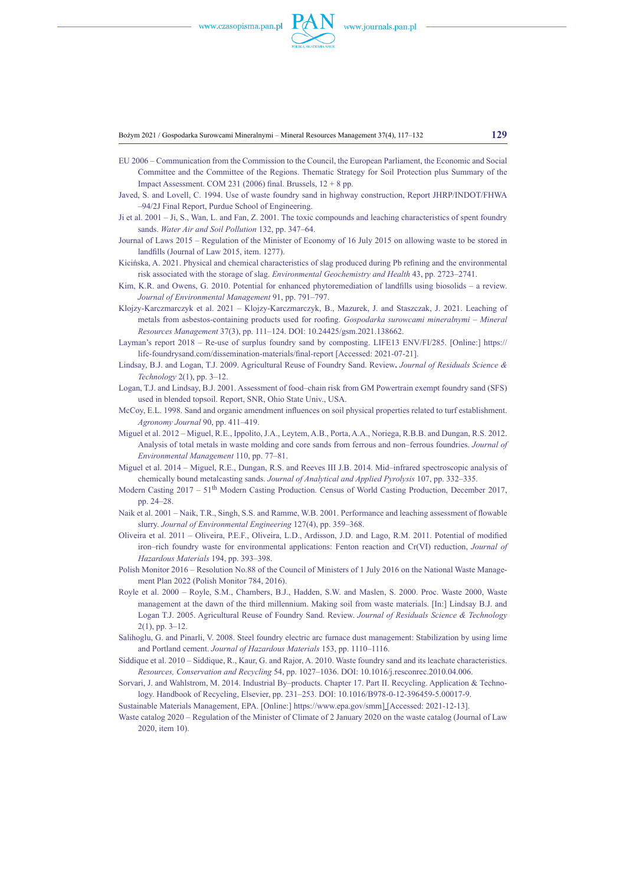

#### Bożym 2021 / Gospodarka Surowcami Mineralnymi – Mineral Resources Management 37(4), 117–132 **129**

- EU 2006 Communication from the Commission to the Council, the European Parliament, the Economic and Social Committee and the Committee of the Regions. Thematic Strategy for Soil Protection plus Summary of the Impact Assessment. COM 231 (2006) final. Brussels,  $12 + 8$  pp.
- Javed, S. and Lovell, C. 1994. Use of waste foundry sand in highway construction, Report JHRP/INDOT/FHWA –94/2J Final Report, Purdue School of Engineering.
- Ji et al. 2001 Ji, S., Wan, L. and Fan, Z. 2001. The toxic compounds and leaching characteristics of spent foundry sands. *Water Air and Soil Pollution* 132, pp. 347–64.
- Journal of Laws 2015 Regulation of the Minister of Economy of 16 July 2015 on allowing waste to be stored in landfills (Journal of Law 2015, item. 1277).
- Kicińska, A. 2021. Physical and chemical characteristics of slag produced during Pb refining and the environmental risk associated with the storage of slag. *Environmental Geochemistry and Health* 43, pp. 2723–2741.
- Kim, K.R. and Owens, G. 2010. Potential for enhanced phytoremediation of landfills using biosolids a review. *Journal of Environmental Management* 91, pp. 791–797.
- Klojzy-Karczmarczyk et al. 2021 Klojzy-Karczmarczyk, B., Mazurek, J. and Staszczak, J. 2021. Leaching of metals from asbestos-containing products used for roofing. *Gospodarka surowcami mineralnymi – Mineral Resources Management* 37(3), pp. 111–124. DOI: [10.24425/gsm.2021.138662](https://doi.org/10.24425/gsm.2021.138662).
- Layman's report 2018 Re-use of surplus foundry sand by composting. LIFE13 ENV/FI/285. [Online:] [https://](https://life-foundrysand.com/dissemination-materials/final-report) [life-foundrysand.com/dissemination-materials/final-report](https://life-foundrysand.com/dissemination-materials/final-report) [Accessed: 2021-07-21].
- Lindsay, B.J. and Logan, T.J. 2009. Agricultural Reuse of Foundry Sand. Review**.** *Journal of Residuals Science & Technology* 2(1), pp. 3–12.
- Logan, T.J. and Lindsay, B.J. 2001. Assessment of food–chain risk from GM Powertrain exempt foundry sand (SFS) used in blended topsoil. Report, SNR, Ohio State Univ., USA.
- McCoy, E.L. 1998. Sand and organic amendment influences on soil physical properties related to turf establishment. *Agronomy Journal* 90, pp. 411–419.
- Miguel et al. 2012 Miguel, R.E., Ippolito, J.A., Leytem, A.B., Porta, A.A., Noriega, R.B.B. and Dungan, R.S. 2012. Analysis of total metals in waste molding and core sands from ferrous and non–ferrous foundries. *Journal of Environmental Management* 110, pp. 77–81.
- Miguel et al. 2014 Miguel, R.E., Dungan, R.S. and Reeves III J.B. 2014. Mid–infrared spectroscopic analysis of chemically bound metalcasting sands. *Journal of Analytical and Applied Pyrolysis* 107, pp. 332–335.
- Modern Casting 2017 51<sup>th</sup> Modern Casting Production. Census of World Casting Production, December 2017, pp. 24–28.
- Naik et al. 2001 Naik, T.R., Singh, S.S. and Ramme, W.B. 2001. Performance and leaching assessment of flowable slurry. *Journal of Environmental Engineering* 127(4), pp. 359–368.
- Oliveira et al. 2011 Oliveira, P.E.F., Oliveira, L.D., Ardisson, J.D. and Lago, R.M. 2011. Potential of modified iron–rich foundry waste for environmental applications: Fenton reaction and Cr(VI) reduction, *Journal of Hazardous Materials* 194, pp. 393–398.
- Polish Monitor 2016 Resolution No.88 of the Council of Ministers of 1 July 2016 on the National Waste Management Plan 2022 (Polish Monitor 784, 2016).
- Royle et al. 2000 Royle, S.M., Chambers, B.J., Hadden, S.W. and Maslen, S. 2000. Proc. Waste 2000, Waste management at the dawn of the third millennium. Making soil from waste materials. [In:] Lindsay B.J. and Logan T.J. 2005. Agricultural Reuse of Foundry Sand. Review. *Journal of Residuals Science & Technology* 2(1), pp. 3–12.
- Salihoglu, G. and Pinarli, V. 2008. Steel foundry electric arc furnace dust management: Stabilization by using lime and Portland cement. *Journal of Hazardous Materials* 153, pp. 1110–1116.
- Siddique et al. 2010 Siddique, R., Kaur, G. and Rajor, A. 2010. Waste foundry sand and its leachate characteristics. *Resources, Conservation and Recycling* 54, pp. 1027–1036. DOI: [10.1016/j.resconrec.2010.04.006.](https://doi.org/10.1016/j.resconrec.2010.04.006)
- Sorvari, J. and Wahlstrom, M. 2014. Industrial By–products. Chapter 17. Part II. Recycling. Application & Technology. Handbook of Recycling, Elsevier, pp. 231–253. DOI: [10.1016/B978-0-12-396459-5.00017-9.](http://dx.doi.org/10.1016/B978-0-12-396459-5.00017-9)
- Sustainable Materials Management, EPA. [Online:] https://www.epa.gov/smm] [Accessed: 2021-12-13].
- Waste catalog 2020 Regulation of the Minister of Climate of 2 January 2020 on the waste catalog (Journal of Law 2020, item 10).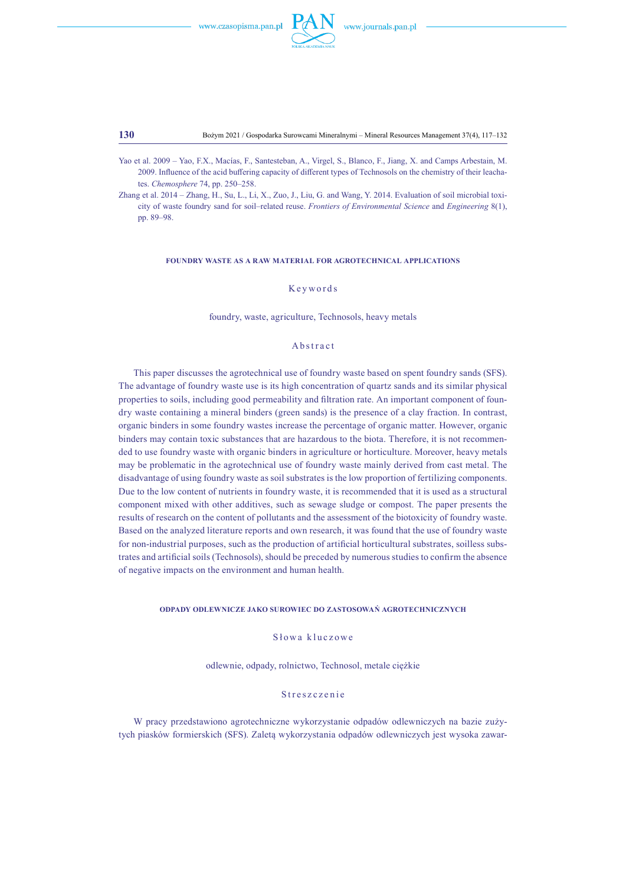

**130** Bożym 2021 / Gospodarka Surowcami Mineralnymi – Mineral Resources Management 37(4), 117–132

- Yao et al. 2009 Yao, F.X., Macías, F., Santesteban, A., Virgel, S., Blanco, F., Jiang, X. and Camps Arbestain, M. 2009. Influence of the acid buffering capacity of different types of Technosols on the chemistry of their leachates. *Chemosphere* 74, pp. 250–258.
- Zhang et al. 2014 Zhang, H., Su, L., Li, X., Zuo, J., Liu, G. and Wang, Y. 2014. Evaluation of soil microbial toxicity of waste foundry sand for soil–related reuse. *Frontiers of Environmental Science* and *Engineering* 8(1), pp. 89–98.

## **Foundry Waste as a Raw Material for Agrotechnical Applications**

## Keywords

### foundry, waste, agriculture, Technosols, heavy metals

# Abstract

This paper discusses the agrotechnical use of foundry waste based on spent foundry sands (SFS). The advantage of foundry waste use is its high concentration of quartz sands and its similar physical properties to soils, including good permeability and filtration rate. An important component of foundry waste containing a mineral binders (green sands) is the presence of a clay fraction. In contrast, organic binders in some foundry wastes increase the percentage of organic matter. However, organic binders may contain toxic substances that are hazardous to the biota. Therefore, it is not recommended to use foundry waste with organic binders in agriculture or horticulture. Moreover, heavy metals may be problematic in the agrotechnical use of foundry waste mainly derived from cast metal. The disadvantage of using foundry waste as soil substrates is the low proportion of fertilizing components. Due to the low content of nutrients in foundry waste, it is recommended that it is used as a structural component mixed with other additives, such as sewage sludge or compost. The paper presents the results of research on the content of pollutants and the assessment of the biotoxicity of foundry waste. Based on the analyzed literature reports and own research, it was found that the use of foundry waste for non-industrial purposes, such as the production of artificial horticultural substrates, soilless substrates and artificial soils (Technosols), should be preceded by numerous studies to confirm the absence of negative impacts on the environment and human health.

# **Odpady odlewnicze jako surowiec do zastosowań agrotechnicznych**

Słowa kluczowe

odlewnie, odpady, rolnictwo, Technosol, metale ciężkie

## Streszczenie

W pracy przedstawiono agrotechniczne wykorzystanie odpadów odlewniczych na bazie zużytych piasków formierskich (SFS). Zaletą wykorzystania odpadów odlewniczych jest wysoka zawar-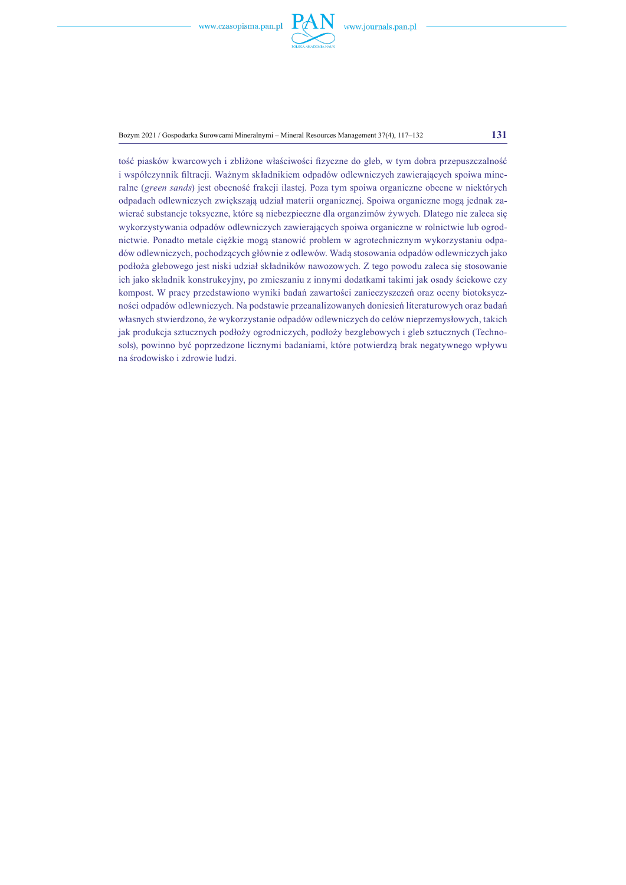

Bożym 2021 / Gospodarka Surowcami Mineralnymi – Mineral Resources Management 37(4), 117–132 **131**

tość piasków kwarcowych i zbliżone właściwości fizyczne do gleb, w tym dobra przepuszczalność i współczynnik filtracji. Ważnym składnikiem odpadów odlewniczych zawierających spoiwa mineralne (*green sands*) jest obecność frakcji ilastej. Poza tym spoiwa organiczne obecne w niektórych odpadach odlewniczych zwiększają udział materii organicznej. Spoiwa organiczne mogą jednak zawierać substancje toksyczne, które są niebezpieczne dla organzimów żywych. Dlatego nie zaleca się wykorzystywania odpadów odlewniczych zawierających spoiwa organiczne w rolnictwie lub ogrodnictwie. Ponadto metale ciężkie mogą stanowić problem w agrotechnicznym wykorzystaniu odpadów odlewniczych, pochodzących głównie z odlewów. Wadą stosowania odpadów odlewniczych jako podłoża glebowego jest niski udział składników nawozowych. Z tego powodu zaleca się stosowanie ich jako składnik konstrukcyjny, po zmieszaniu z innymi dodatkami takimi jak osady ściekowe czy kompost. W pracy przedstawiono wyniki badań zawartości zanieczyszczeń oraz oceny biotoksyczności odpadów odlewniczych. Na podstawie przeanalizowanych doniesień literaturowych oraz badań własnych stwierdzono, że wykorzystanie odpadów odlewniczych do celów nieprzemysłowych, takich jak produkcja sztucznych podłoży ogrodniczych, podłoży bezglebowych i gleb sztucznych (Technosols), powinno być poprzedzone licznymi badaniami, które potwierdzą brak negatywnego wpływu na środowisko i zdrowie ludzi.